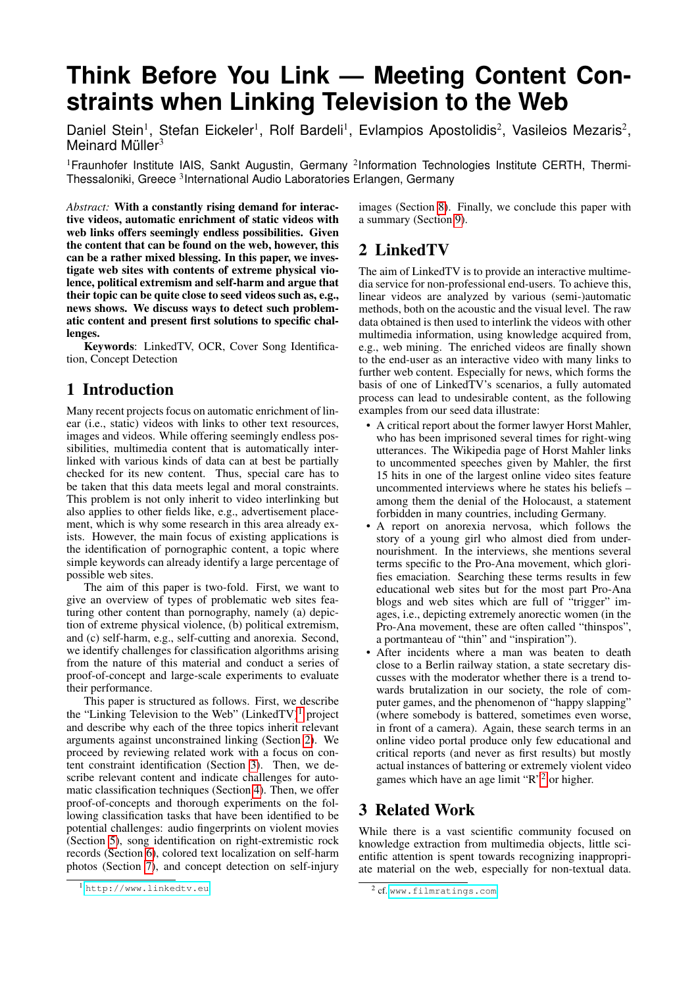# **Think Before You Link — Meeting Content Constraints when Linking Television to the Web**

Daniel Stein<sup>1</sup>, Stefan Eickeler<sup>1</sup>, Rolf Bardeli<sup>1</sup>, Evlampios Apostolidis<sup>2</sup>, Vasileios Mezaris<sup>2</sup>, Meinard Müller<sup>3</sup>

<sup>1</sup> Fraunhofer Institute IAIS, Sankt Augustin, Germany <sup>2</sup>Information Technologies Institute CERTH, Thermi-Thessaloniki, Greece <sup>3</sup>International Audio Laboratories Erlangen, Germany

*Abstract:* With a constantly rising demand for interactive videos, automatic enrichment of static videos with web links offers seemingly endless possibilities. Given the content that can be found on the web, however, this can be a rather mixed blessing. In this paper, we investigate web sites with contents of extreme physical violence, political extremism and self-harm and argue that their topic can be quite close to seed videos such as, e.g., news shows. We discuss ways to detect such problematic content and present first solutions to specific challenges.

Keywords: LinkedTV, OCR, Cover Song Identification, Concept Detection

# 1 Introduction

Many recent projects focus on automatic enrichment of linear (i.e., static) videos with links to other text resources, images and videos. While offering seemingly endless possibilities, multimedia content that is automatically interlinked with various kinds of data can at best be partially checked for its new content. Thus, special care has to be taken that this data meets legal and moral constraints. This problem is not only inherit to video interlinking but also applies to other fields like, e.g., advertisement placement, which is why some research in this area already exists. However, the main focus of existing applications is the identification of pornographic content, a topic where simple keywords can already identify a large percentage of possible web sites.

The aim of this paper is two-fold. First, we want to give an overview of types of problematic web sites featuring other content than pornography, namely (a) depiction of extreme physical violence, (b) political extremism, and (c) self-harm, e.g., self-cutting and anorexia. Second, we identify challenges for classification algorithms arising from the nature of this material and conduct a series of proof-of-concept and large-scale experiments to evaluate their performance.

This paper is structured as follows. First, we describe the "Linking Television to the Web" (LinkedTV)<sup>[1](#page-0-0)</sup> project and describe why each of the three topics inherit relevant arguments against unconstrained linking (Section [2\)](#page-0-1). We proceed by reviewing related work with a focus on content constraint identification (Section [3\)](#page-0-2). Then, we describe relevant content and indicate challenges for automatic classification techniques (Section [4\)](#page-1-0). Then, we offer proof-of-concepts and thorough experiments on the following classification tasks that have been identified to be potential challenges: audio fingerprints on violent movies (Section [5\)](#page-2-0), song identification on right-extremistic rock records (Section [6\)](#page-2-1), colored text localization on self-harm photos (Section [7\)](#page-3-0), and concept detection on self-injury images (Section [8\)](#page-3-1). Finally, we conclude this paper with a summary (Section [9\)](#page-4-0).

# <span id="page-0-1"></span>2 LinkedTV

The aim of LinkedTV is to provide an interactive multimedia service for non-professional end-users. To achieve this, linear videos are analyzed by various (semi-)automatic methods, both on the acoustic and the visual level. The raw data obtained is then used to interlink the videos with other multimedia information, using knowledge acquired from, e.g., web mining. The enriched videos are finally shown to the end-user as an interactive video with many links to further web content. Especially for news, which forms the basis of one of LinkedTV's scenarios, a fully automated process can lead to undesirable content, as the following examples from our seed data illustrate:

- A critical report about the former lawyer Horst Mahler, who has been imprisoned several times for right-wing utterances. The Wikipedia page of Horst Mahler links to uncommented speeches given by Mahler, the first 15 hits in one of the largest online video sites feature uncommented interviews where he states his beliefs – among them the denial of the Holocaust, a statement forbidden in many countries, including Germany.
- A report on anorexia nervosa, which follows the story of a young girl who almost died from undernourishment. In the interviews, she mentions several terms specific to the Pro-Ana movement, which glorifies emaciation. Searching these terms results in few educational web sites but for the most part Pro-Ana blogs and web sites which are full of "trigger" images, i.e., depicting extremely anorectic women (in the Pro-Ana movement, these are often called "thinspos", a portmanteau of "thin" and "inspiration").
- After incidents where a man was beaten to death close to a Berlin railway station, a state secretary discusses with the moderator whether there is a trend towards brutalization in our society, the role of computer games, and the phenomenon of "happy slapping" (where somebody is battered, sometimes even worse, in front of a camera). Again, these search terms in an online video portal produce only few educational and critical reports (and never as first results) but mostly actual instances of battering or extremely violent video games which have an age limit "R"[2](#page-0-3) or higher.

# <span id="page-0-2"></span>3 Related Work

While there is a vast scientific community focused on knowledge extraction from multimedia objects, little scientific attention is spent towards recognizing inappropriate material on the web, especially for non-textual data.

<span id="page-0-0"></span><sup>1</sup> <http://www.linkedtv.eu>

<span id="page-0-3"></span><sup>2</sup> cf. <www.filmratings.com>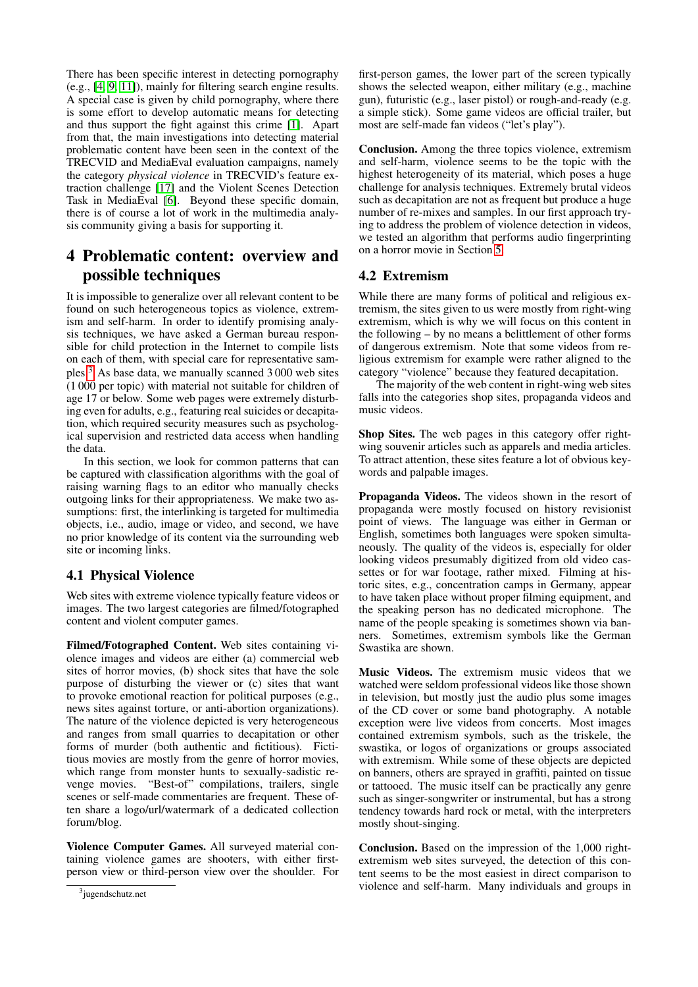There has been specific interest in detecting pornography (e.g., [\[4,](#page-4-1) [9,](#page-4-2) [11\]](#page-4-3)), mainly for filtering search engine results. A special case is given by child pornography, where there is some effort to develop automatic means for detecting and thus support the fight against this crime [\[1\]](#page-4-4). Apart from that, the main investigations into detecting material problematic content have been seen in the context of the TRECVID and MediaEval evaluation campaigns, namely the category *physical violence* in TRECVID's feature extraction challenge [\[17\]](#page-4-5) and the Violent Scenes Detection Task in MediaEval [\[6\]](#page-4-6). Beyond these specific domain, there is of course a lot of work in the multimedia analysis community giving a basis for supporting it.

# <span id="page-1-0"></span>4 Problematic content: overview and possible techniques

It is impossible to generalize over all relevant content to be found on such heterogeneous topics as violence, extremism and self-harm. In order to identify promising analysis techniques, we have asked a German bureau responsible for child protection in the Internet to compile lists on each of them, with special care for representative samples.[3](#page-1-1) As base data, we manually scanned 3 000 web sites (1 000 per topic) with material not suitable for children of age 17 or below. Some web pages were extremely disturbing even for adults, e.g., featuring real suicides or decapitation, which required security measures such as psychological supervision and restricted data access when handling the data.

In this section, we look for common patterns that can be captured with classification algorithms with the goal of raising warning flags to an editor who manually checks outgoing links for their appropriateness. We make two assumptions: first, the interlinking is targeted for multimedia objects, i.e., audio, image or video, and second, we have no prior knowledge of its content via the surrounding web site or incoming links.

#### 4.1 Physical Violence

Web sites with extreme violence typically feature videos or images. The two largest categories are filmed/fotographed content and violent computer games.

Filmed/Fotographed Content. Web sites containing violence images and videos are either (a) commercial web sites of horror movies, (b) shock sites that have the sole purpose of disturbing the viewer or (c) sites that want to provoke emotional reaction for political purposes (e.g., news sites against torture, or anti-abortion organizations). The nature of the violence depicted is very heterogeneous and ranges from small quarries to decapitation or other forms of murder (both authentic and fictitious). Fictitious movies are mostly from the genre of horror movies, which range from monster hunts to sexually-sadistic revenge movies. "Best-of" compilations, trailers, single scenes or self-made commentaries are frequent. These often share a logo/url/watermark of a dedicated collection forum/blog.

Violence Computer Games. All surveyed material containing violence games are shooters, with either firstperson view or third-person view over the shoulder. For first-person games, the lower part of the screen typically shows the selected weapon, either military (e.g., machine gun), futuristic (e.g., laser pistol) or rough-and-ready (e.g. a simple stick). Some game videos are official trailer, but most are self-made fan videos ("let's play").

Conclusion. Among the three topics violence, extremism and self-harm, violence seems to be the topic with the highest heterogeneity of its material, which poses a huge challenge for analysis techniques. Extremely brutal videos such as decapitation are not as frequent but produce a huge number of re-mixes and samples. In our first approach trying to address the problem of violence detection in videos, we tested an algorithm that performs audio fingerprinting on a horror movie in Section [5.](#page-2-0)

#### 4.2 Extremism

While there are many forms of political and religious extremism, the sites given to us were mostly from right-wing extremism, which is why we will focus on this content in the following – by no means a belittlement of other forms of dangerous extremism. Note that some videos from religious extremism for example were rather aligned to the category "violence" because they featured decapitation.

The majority of the web content in right-wing web sites falls into the categories shop sites, propaganda videos and music videos.

Shop Sites. The web pages in this category offer rightwing souvenir articles such as apparels and media articles. To attract attention, these sites feature a lot of obvious keywords and palpable images.

Propaganda Videos. The videos shown in the resort of propaganda were mostly focused on history revisionist point of views. The language was either in German or English, sometimes both languages were spoken simultaneously. The quality of the videos is, especially for older looking videos presumably digitized from old video cassettes or for war footage, rather mixed. Filming at historic sites, e.g., concentration camps in Germany, appear to have taken place without proper filming equipment, and the speaking person has no dedicated microphone. The name of the people speaking is sometimes shown via banners. Sometimes, extremism symbols like the German Swastika are shown.

Music Videos. The extremism music videos that we watched were seldom professional videos like those shown in television, but mostly just the audio plus some images of the CD cover or some band photography. A notable exception were live videos from concerts. Most images contained extremism symbols, such as the triskele, the swastika, or logos of organizations or groups associated with extremism. While some of these objects are depicted on banners, others are sprayed in graffiti, painted on tissue or tattooed. The music itself can be practically any genre such as singer-songwriter or instrumental, but has a strong tendency towards hard rock or metal, with the interpreters mostly shout-singing.

Conclusion. Based on the impression of the 1,000 rightextremism web sites surveyed, the detection of this content seems to be the most easiest in direct comparison to violence and self-harm. Many individuals and groups in

<span id="page-1-1"></span><sup>3</sup> jugendschutz.net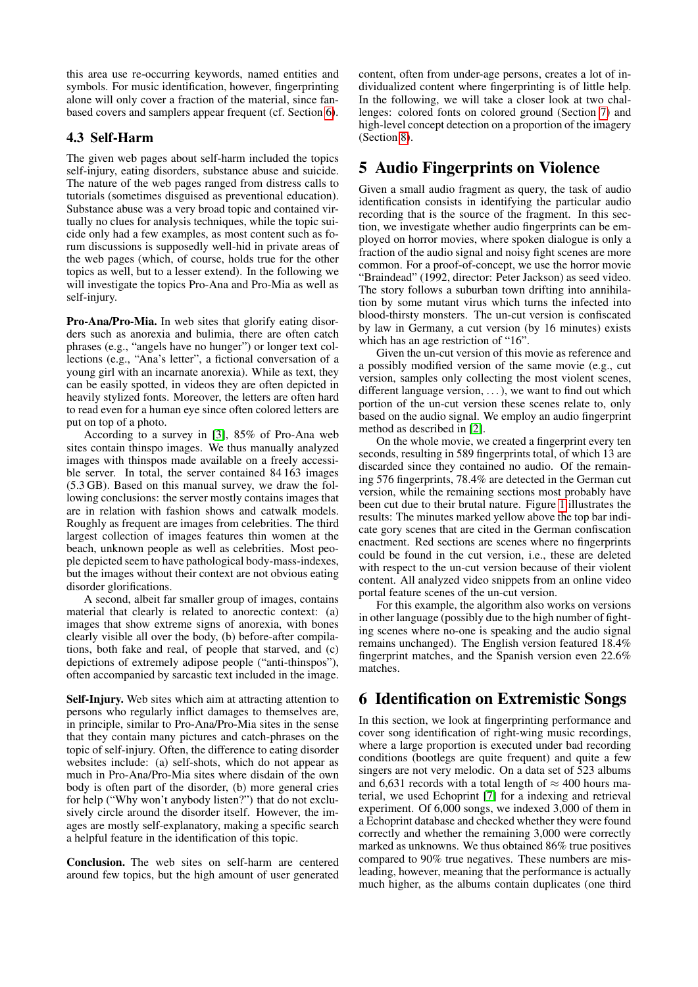this area use re-occurring keywords, named entities and symbols. For music identification, however, fingerprinting alone will only cover a fraction of the material, since fanbased covers and samplers appear frequent (cf. Section [6\)](#page-2-1).

#### 4.3 Self-Harm

The given web pages about self-harm included the topics self-injury, eating disorders, substance abuse and suicide. The nature of the web pages ranged from distress calls to tutorials (sometimes disguised as preventional education). Substance abuse was a very broad topic and contained virtually no clues for analysis techniques, while the topic suicide only had a few examples, as most content such as forum discussions is supposedly well-hid in private areas of the web pages (which, of course, holds true for the other topics as well, but to a lesser extend). In the following we will investigate the topics Pro-Ana and Pro-Mia as well as self-injury.

Pro-Ana/Pro-Mia. In web sites that glorify eating disorders such as anorexia and bulimia, there are often catch phrases (e.g., "angels have no hunger") or longer text collections (e.g., "Ana's letter", a fictional conversation of a young girl with an incarnate anorexia). While as text, they can be easily spotted, in videos they are often depicted in heavily stylized fonts. Moreover, the letters are often hard to read even for a human eye since often colored letters are put on top of a photo.

According to a survey in [\[3\]](#page-4-7), 85% of Pro-Ana web sites contain thinspo images. We thus manually analyzed images with thinspos made available on a freely accessible server. In total, the server contained 84 163 images (5.3 GB). Based on this manual survey, we draw the following conclusions: the server mostly contains images that are in relation with fashion shows and catwalk models. Roughly as frequent are images from celebrities. The third largest collection of images features thin women at the beach, unknown people as well as celebrities. Most people depicted seem to have pathological body-mass-indexes, but the images without their context are not obvious eating disorder glorifications.

A second, albeit far smaller group of images, contains material that clearly is related to anorectic context: (a) images that show extreme signs of anorexia, with bones clearly visible all over the body, (b) before-after compilations, both fake and real, of people that starved, and (c) depictions of extremely adipose people ("anti-thinspos"), often accompanied by sarcastic text included in the image.

Self-Injury. Web sites which aim at attracting attention to persons who regularly inflict damages to themselves are, in principle, similar to Pro-Ana/Pro-Mia sites in the sense that they contain many pictures and catch-phrases on the topic of self-injury. Often, the difference to eating disorder websites include: (a) self-shots, which do not appear as much in Pro-Ana/Pro-Mia sites where disdain of the own body is often part of the disorder, (b) more general cries for help ("Why won't anybody listen?") that do not exclusively circle around the disorder itself. However, the images are mostly self-explanatory, making a specific search a helpful feature in the identification of this topic.

Conclusion. The web sites on self-harm are centered around few topics, but the high amount of user generated content, often from under-age persons, creates a lot of individualized content where fingerprinting is of little help. In the following, we will take a closer look at two challenges: colored fonts on colored ground (Section [7\)](#page-3-0) and high-level concept detection on a proportion of the imagery (Section [8\)](#page-3-1).

### <span id="page-2-0"></span>5 Audio Fingerprints on Violence

Given a small audio fragment as query, the task of audio identification consists in identifying the particular audio recording that is the source of the fragment. In this section, we investigate whether audio fingerprints can be employed on horror movies, where spoken dialogue is only a fraction of the audio signal and noisy fight scenes are more common. For a proof-of-concept, we use the horror movie "Braindead" (1992, director: Peter Jackson) as seed video. The story follows a suburban town drifting into annihilation by some mutant virus which turns the infected into blood-thirsty monsters. The un-cut version is confiscated by law in Germany, a cut version (by 16 minutes) exists which has an age restriction of "16".

Given the un-cut version of this movie as reference and a possibly modified version of the same movie (e.g., cut version, samples only collecting the most violent scenes, different language version, ...), we want to find out which portion of the un-cut version these scenes relate to, only based on the audio signal. We employ an audio fingerprint method as described in [\[2\]](#page-4-8).

On the whole movie, we created a fingerprint every ten seconds, resulting in 589 fingerprints total, of which 13 are discarded since they contained no audio. Of the remaining 576 fingerprints, 78.4% are detected in the German cut version, while the remaining sections most probably have been cut due to their brutal nature. Figure [1](#page-3-2) illustrates the results: The minutes marked yellow above the top bar indicate gory scenes that are cited in the German confiscation enactment. Red sections are scenes where no fingerprints could be found in the cut version, i.e., these are deleted with respect to the un-cut version because of their violent content. All analyzed video snippets from an online video portal feature scenes of the un-cut version.

For this example, the algorithm also works on versions in other language (possibly due to the high number of fighting scenes where no-one is speaking and the audio signal remains unchanged). The English version featured 18.4% fingerprint matches, and the Spanish version even 22.6% matches.

## <span id="page-2-1"></span>6 Identification on Extremistic Songs

In this section, we look at fingerprinting performance and cover song identification of right-wing music recordings, where a large proportion is executed under bad recording conditions (bootlegs are quite frequent) and quite a few singers are not very melodic. On a data set of 523 albums and 6,631 records with a total length of  $\approx$  400 hours material, we used Echoprint [\[7\]](#page-4-9) for a indexing and retrieval experiment. Of 6,000 songs, we indexed 3,000 of them in a Echoprint database and checked whether they were found correctly and whether the remaining 3,000 were correctly marked as unknowns. We thus obtained 86% true positives compared to 90% true negatives. These numbers are misleading, however, meaning that the performance is actually much higher, as the albums contain duplicates (one third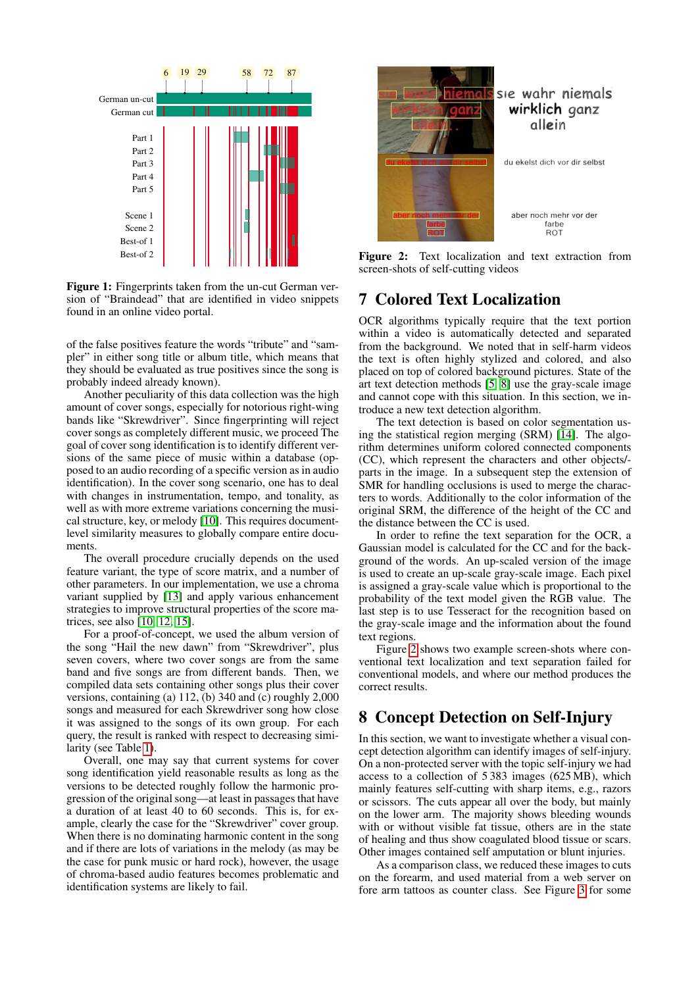

<span id="page-3-2"></span>Figure 1: Fingerprints taken from the un-cut German version of "Braindead" that are identified in video snippets found in an online video portal.

of the false positives feature the words "tribute" and "sampler" in either song title or album title, which means that they should be evaluated as true positives since the song is probably indeed already known).

Another peculiarity of this data collection was the high amount of cover songs, especially for notorious right-wing bands like "Skrewdriver". Since fingerprinting will reject cover songs as completely different music, we proceed The goal of cover song identification is to identify different versions of the same piece of music within a database (opposed to an audio recording of a specific version as in audio identification). In the cover song scenario, one has to deal with changes in instrumentation, tempo, and tonality, as well as with more extreme variations concerning the musical structure, key, or melody [\[10\]](#page-4-10). This requires documentlevel similarity measures to globally compare entire documents.

The overall procedure crucially depends on the used feature variant, the type of score matrix, and a number of other parameters. In our implementation, we use a chroma variant supplied by [\[13\]](#page-4-11) and apply various enhancement strategies to improve structural properties of the score matrices, see also [\[10,](#page-4-10) [12,](#page-4-12) [15\]](#page-4-13).

For a proof-of-concept, we used the album version of the song "Hail the new dawn" from "Skrewdriver", plus seven covers, where two cover songs are from the same band and five songs are from different bands. Then, we compiled data sets containing other songs plus their cover versions, containing (a) 112, (b) 340 and (c) roughly 2,000 songs and measured for each Skrewdriver song how close it was assigned to the songs of its own group. For each query, the result is ranked with respect to decreasing similarity (see Table [1\)](#page-4-14).

Overall, one may say that current systems for cover song identification yield reasonable results as long as the versions to be detected roughly follow the harmonic progression of the original song—at least in passages that have a duration of at least 40 to 60 seconds. This is, for example, clearly the case for the "Skrewdriver" cover group. When there is no dominating harmonic content in the song and if there are lots of variations in the melody (as may be the case for punk music or hard rock), however, the usage of chroma-based audio features becomes problematic and identification systems are likely to fail.



Figure 2: Text localization and text extraction from screen-shots of self-cutting videos

## <span id="page-3-3"></span><span id="page-3-0"></span>7 Colored Text Localization

OCR algorithms typically require that the text portion within a video is automatically detected and separated from the background. We noted that in self-harm videos the text is often highly stylized and colored, and also placed on top of colored background pictures. State of the art text detection methods [\[5,](#page-4-15) [8\]](#page-4-16) use the gray-scale image and cannot cope with this situation. In this section, we introduce a new text detection algorithm.

The text detection is based on color segmentation using the statistical region merging (SRM) [\[14\]](#page-4-17). The algorithm determines uniform colored connected components (CC), which represent the characters and other objects/ parts in the image. In a subsequent step the extension of SMR for handling occlusions is used to merge the characters to words. Additionally to the color information of the original SRM, the difference of the height of the CC and the distance between the CC is used.

In order to refine the text separation for the OCR, a Gaussian model is calculated for the CC and for the background of the words. An up-scaled version of the image is used to create an up-scale gray-scale image. Each pixel is assigned a gray-scale value which is proportional to the probability of the text model given the RGB value. The last step is to use Tesseract for the recognition based on the gray-scale image and the information about the found text regions.

Figure [2](#page-3-3) shows two example screen-shots where conventional text localization and text separation failed for conventional models, and where our method produces the correct results.

## <span id="page-3-1"></span>8 Concept Detection on Self-Injury

In this section, we want to investigate whether a visual concept detection algorithm can identify images of self-injury. On a non-protected server with the topic self-injury we had access to a collection of 5 383 images (625 MB), which mainly features self-cutting with sharp items, e.g., razors or scissors. The cuts appear all over the body, but mainly on the lower arm. The majority shows bleeding wounds with or without visible fat tissue, others are in the state of healing and thus show coagulated blood tissue or scars. Other images contained self amputation or blunt injuries.

As a comparison class, we reduced these images to cuts on the forearm, and used material from a web server on fore arm tattoos as counter class. See Figure [3](#page-5-0) for some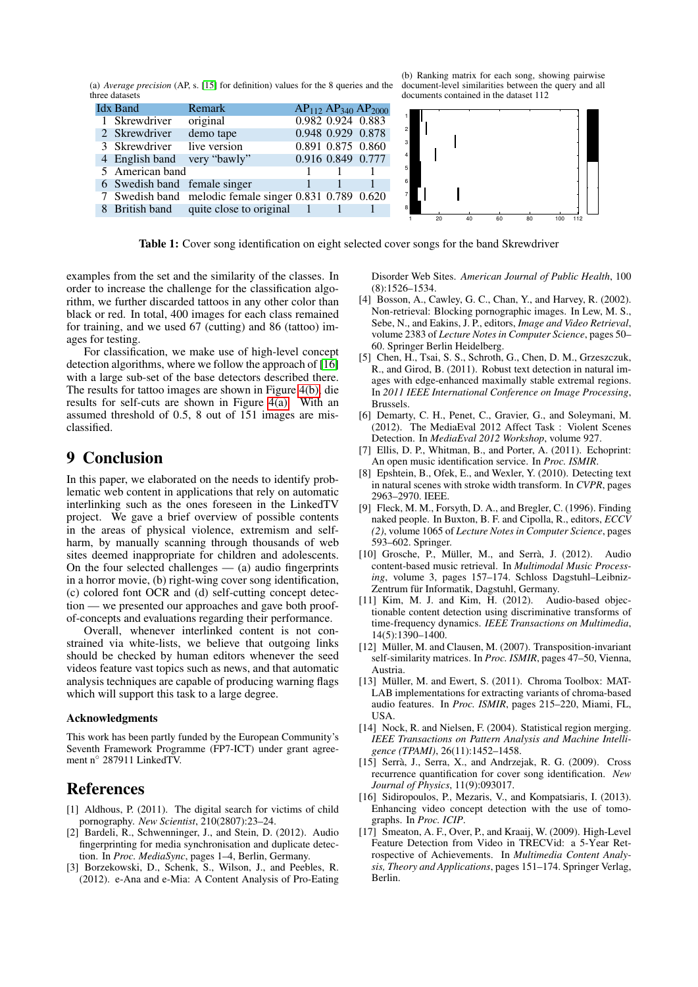(a) *Average precision* (AP, s. [\[15\]](#page-4-13) for definition) values for the 8 queries and the three datasets

| <b>Idx Band</b>              | <b>Remark</b>                                          |                   | $AP_{112}$ $AP_{340}$ $AP_{2000}$ |                |    |    |    |    |     |     |  |
|------------------------------|--------------------------------------------------------|-------------------|-----------------------------------|----------------|----|----|----|----|-----|-----|--|
| 1 Skrewdriver                | original                                               | 0.982 0.924 0.883 |                                   |                |    |    |    |    |     |     |  |
| 2 Skrewdriver                | demo tape                                              | 0.948 0.929 0.878 |                                   | $\overline{2}$ |    |    |    |    |     |     |  |
| 3 Skrewdriver                | live version                                           | 0.891 0.875 0.860 |                                   | 3 <sup>1</sup> |    |    |    |    |     |     |  |
| 4 English band very "bawly"  |                                                        |                   | 0.916 0.849 0.777                 |                |    |    |    |    |     |     |  |
| 5 American band              |                                                        |                   |                                   | 5 <sup>1</sup> |    |    |    |    |     |     |  |
| 6 Swedish band female singer |                                                        |                   |                                   | $6 \mid$       |    |    |    |    |     |     |  |
|                              | 7 Swedish band melodic female singer 0.831 0.789 0.620 |                   |                                   |                |    |    |    |    |     |     |  |
|                              | 8 British band quite close to original                 |                   |                                   | 8              |    |    |    |    |     |     |  |
|                              |                                                        |                   |                                   |                | 20 | 40 | 60 | 80 | 100 | 112 |  |

<span id="page-4-14"></span>Table 1: Cover song identification on eight selected cover songs for the band Skrewdriver

examples from the set and the similarity of the classes. In order to increase the challenge for the classification algorithm, we further discarded tattoos in any other color than black or red. In total, 400 images for each class remained for training, and we used 67 (cutting) and 86 (tattoo) images for testing.

For classification, we make use of high-level concept detection algorithms, where we follow the approach of [\[16\]](#page-4-18) with a large sub-set of the base detectors described there. The results for tattoo images are shown in Figure [4\(b\),](#page-5-1) die results for self-cuts are shown in Figure [4\(a\).](#page-5-2) With an assumed threshold of 0.5, 8 out of 151 images are misclassified.

# <span id="page-4-0"></span>9 Conclusion

In this paper, we elaborated on the needs to identify problematic web content in applications that rely on automatic interlinking such as the ones foreseen in the LinkedTV project. We gave a brief overview of possible contents in the areas of physical violence, extremism and selfharm, by manually scanning through thousands of web sites deemed inappropriate for children and adolescents. On the four selected challenges  $-$  (a) audio fingerprints in a horror movie, (b) right-wing cover song identification, (c) colored font OCR and (d) self-cutting concept detection — we presented our approaches and gave both proofof-concepts and evaluations regarding their performance.

Overall, whenever interlinked content is not constrained via white-lists, we believe that outgoing links should be checked by human editors whenever the seed videos feature vast topics such as news, and that automatic analysis techniques are capable of producing warning flags which will support this task to a large degree.

#### Acknowledgments

This work has been partly funded by the European Community's Seventh Framework Programme (FP7-ICT) under grant agreement n◦ 287911 LinkedTV.

### References

- <span id="page-4-4"></span>[1] Aldhous, P. (2011). The digital search for victims of child pornography. *New Scientist*, 210(2807):23–24.
- <span id="page-4-8"></span>[2] Bardeli, R., Schwenninger, J., and Stein, D. (2012). Audio fingerprinting for media synchronisation and duplicate detection. In *Proc. MediaSync*, pages 1–4, Berlin, Germany.
- <span id="page-4-7"></span>[3] Borzekowski, D., Schenk, S., Wilson, J., and Peebles, R. (2012). e-Ana and e-Mia: A Content Analysis of Pro-Eating

Disorder Web Sites. *American Journal of Public Health*, 100 (8):1526–1534.

- <span id="page-4-1"></span>[4] Bosson, A., Cawley, G. C., Chan, Y., and Harvey, R. (2002). Non-retrieval: Blocking pornographic images. In Lew, M. S., Sebe, N., and Eakins, J. P., editors, *Image and Video Retrieval*, volume 2383 of *Lecture Notes in Computer Science*, pages 50– 60. Springer Berlin Heidelberg.
- <span id="page-4-15"></span>[5] Chen, H., Tsai, S. S., Schroth, G., Chen, D. M., Grzeszczuk, R., and Girod, B. (2011). Robust text detection in natural images with edge-enhanced maximally stable extremal regions. In *2011 IEEE International Conference on Image Processing*, Brussels.
- <span id="page-4-6"></span>[6] Demarty, C. H., Penet, C., Gravier, G., and Soleymani, M. (2012). The MediaEval 2012 Affect Task : Violent Scenes Detection. In *MediaEval 2012 Workshop*, volume 927.
- <span id="page-4-9"></span>[7] Ellis, D. P., Whitman, B., and Porter, A. (2011). Echoprint: An open music identification service. In *Proc. ISMIR*.
- <span id="page-4-16"></span>[8] Epshtein, B., Ofek, E., and Wexler, Y. (2010). Detecting text in natural scenes with stroke width transform. In *CVPR*, pages 2963–2970. IEEE.
- <span id="page-4-2"></span>[9] Fleck, M. M., Forsyth, D. A., and Bregler, C. (1996). Finding naked people. In Buxton, B. F. and Cipolla, R., editors, *ECCV (2)*, volume 1065 of *Lecture Notes in Computer Science*, pages 593–602. Springer.
- <span id="page-4-10"></span>[10] Grosche, P., Müller, M., and Serrà, J. (2012). Audio content-based music retrieval. In *Multimodal Music Processing*, volume 3, pages 157–174. Schloss Dagstuhl–Leibniz-Zentrum für Informatik, Dagstuhl, Germany.
- <span id="page-4-3"></span>[11] Kim, M. J. and Kim, H. (2012). Audio-based objectionable content detection using discriminative transforms of time-frequency dynamics. *IEEE Transactions on Multimedia*, 14(5):1390–1400.
- <span id="page-4-12"></span>[12] Müller, M. and Clausen, M. (2007). Transposition-invariant self-similarity matrices. In *Proc. ISMIR*, pages 47–50, Vienna, Austria.
- <span id="page-4-11"></span>[13] Müller, M. and Ewert, S. (2011). Chroma Toolbox: MAT-LAB implementations for extracting variants of chroma-based audio features. In *Proc. ISMIR*, pages 215–220, Miami, FL, USA.
- <span id="page-4-17"></span>[14] Nock, R. and Nielsen, F. (2004). Statistical region merging. *IEEE Transactions on Pattern Analysis and Machine Intelligence (TPAMI)*, 26(11):1452–1458.
- <span id="page-4-13"></span>[15] Serrà, J., Serra, X., and Andrzejak, R. G. (2009). Cross recurrence quantification for cover song identification. *New Journal of Physics*, 11(9):093017.
- <span id="page-4-18"></span>[16] Sidiropoulos, P., Mezaris, V., and Kompatsiaris, I. (2013). Enhancing video concept detection with the use of tomographs. In *Proc. ICIP*.
- <span id="page-4-5"></span>[17] Smeaton, A. F., Over, P., and Kraaij, W. (2009). High-Level Feature Detection from Video in TRECVid: a 5-Year Retrospective of Achievements. In *Multimedia Content Analysis, Theory and Applications*, pages 151–174. Springer Verlag, Berlin.

(b) Ranking matrix for each song, showing pairwise document-level similarities between the query and all documents contained in the dataset 112